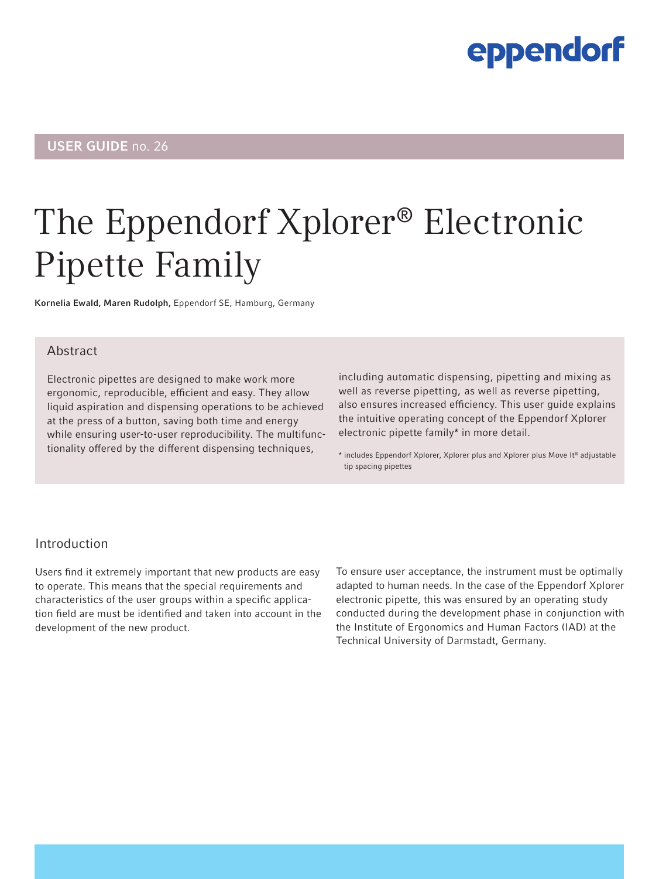### eppendorf

### USER GUIDE no. 26

# The Eppendorf Xplorer® Electronic Pipette Family

Kornelia Ewald, Maren Rudolph, Eppendorf SE, Hamburg, Germany

#### Abstract

Electronic pipettes are designed to make work more ergonomic, reproducible, efficient and easy. They allow liquid aspiration and dispensing operations to be achieved at the press of a button, saving both time and energy while ensuring user-to-user reproducibility. The multifunctionality offered by the different dispensing techniques,

including automatic dispensing, pipetting and mixing as well as reverse pipetting, as well as reverse pipetting, also ensures increased efficiency. This user guide explains the intuitive operating concept of the Eppendorf Xplorer electronic pipette family\* in more detail.

\* includes Eppendorf Xplorer, Xplorer plus and Xplorer plus Move It® adjustable tip spacing pipettes

#### Introduction

Users find it extremely important that new products are easy to operate. This means that the special requirements and characteristics of the user groups within a specific application field are must be identified and taken into account in the development of the new product.

To ensure user acceptance, the instrument must be optimally adapted to human needs. In the case of the Eppendorf Xplorer electronic pipette, this was ensured by an operating study conducted during the development phase in conjunction with the Institute of Ergonomics and Human Factors (IAD) at the Technical University of Darmstadt, Germany.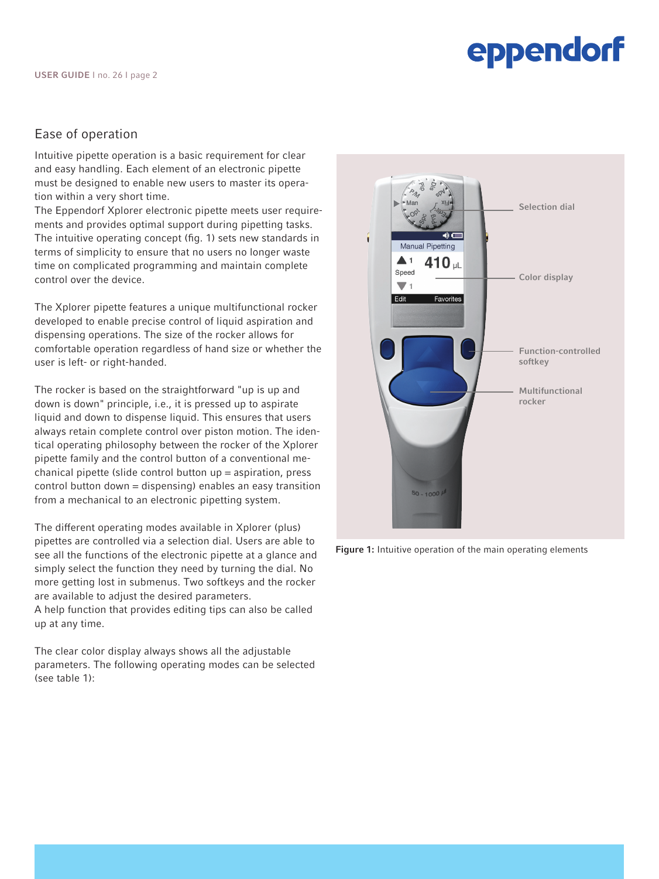### eppendorf

#### Ease of operation

Intuitive pipette operation is a basic requirement for clear and easy handling. Each element of an electronic pipette must be designed to enable new users to master its operation within a very short time.

The Eppendorf Xplorer electronic pipette meets user requirements and provides optimal support during pipetting tasks. The intuitive operating concept (fig. 1) sets new standards in terms of simplicity to ensure that no users no longer waste time on complicated programming and maintain complete control over the device.

The Xplorer pipette features a unique multifunctional rocker developed to enable precise control of liquid aspiration and dispensing operations. The size of the rocker allows for comfortable operation regardless of hand size or whether the user is left- or right-handed.

The rocker is based on the straightforward "up is up and down is down" principle, i.e., it is pressed up to aspirate liquid and down to dispense liquid. This ensures that users always retain complete control over piston motion. The identical operating philosophy between the rocker of the Xplorer pipette family and the control button of a conventional mechanical pipette (slide control button up = aspiration, press control button down = dispensing) enables an easy transition from a mechanical to an electronic pipetting system.

The different operating modes available in Xplorer (plus) pipettes are controlled via a selection dial. Users are able to see all the functions of the electronic pipette at a glance and simply select the function they need by turning the dial. No more getting lost in submenus. Two softkeys and the rocker are available to adjust the desired parameters.

A help function that provides editing tips can also be called up at any time.

The clear color display always shows all the adjustable parameters. The following operating modes can be selected (see table 1):



Figure 1: Intuitive operation of the main operating elements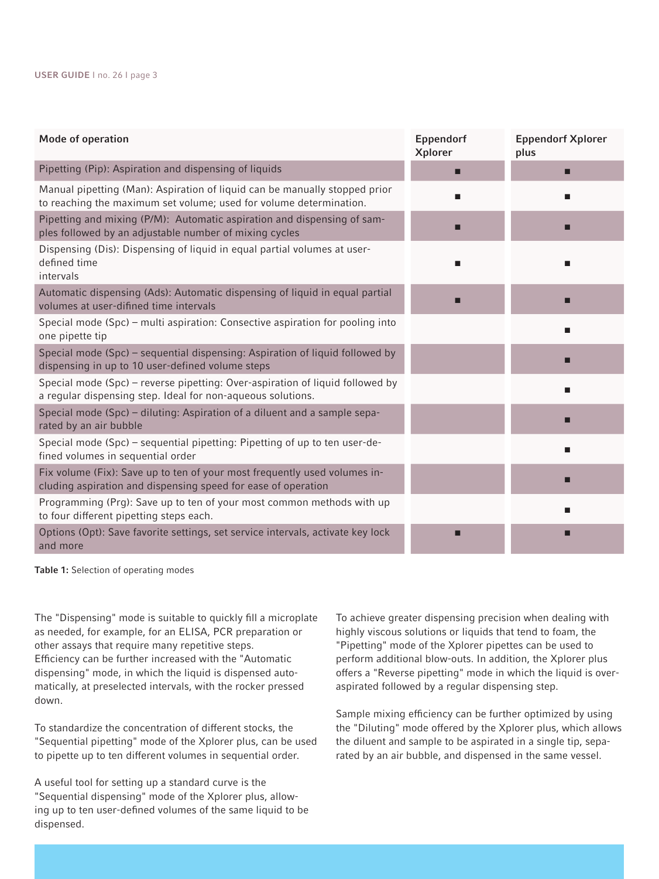| Mode of operation                                                                                                                                | Eppendorf<br><b>Xplorer</b> | <b>Eppendorf Xplorer</b><br>plus |
|--------------------------------------------------------------------------------------------------------------------------------------------------|-----------------------------|----------------------------------|
| Pipetting (Pip): Aspiration and dispensing of liquids                                                                                            |                             | □                                |
| Manual pipetting (Man): Aspiration of liquid can be manually stopped prior<br>to reaching the maximum set volume; used for volume determination. |                             |                                  |
| Pipetting and mixing (P/M): Automatic aspiration and dispensing of sam-<br>ples followed by an adjustable number of mixing cycles                |                             |                                  |
| Dispensing (Dis): Dispensing of liquid in equal partial volumes at user-<br>defined time<br>intervals                                            |                             |                                  |
| Automatic dispensing (Ads): Automatic dispensing of liquid in equal partial<br>volumes at user-difined time intervals                            |                             |                                  |
| Special mode (Spc) – multi aspiration: Consective aspiration for pooling into<br>one pipette tip                                                 |                             |                                  |
| Special mode (Spc) – sequential dispensing: Aspiration of liquid followed by<br>dispensing in up to 10 user-defined volume steps                 |                             |                                  |
| Special mode (Spc) - reverse pipetting: Over-aspiration of liquid followed by<br>a regular dispensing step. Ideal for non-aqueous solutions.     |                             |                                  |
| Special mode (Spc) - diluting: Aspiration of a diluent and a sample sepa-<br>rated by an air bubble                                              |                             |                                  |
| Special mode (Spc) - sequential pipetting: Pipetting of up to ten user-de-<br>fined volumes in sequential order                                  |                             |                                  |
| Fix volume (Fix): Save up to ten of your most frequently used volumes in-<br>cluding aspiration and dispensing speed for ease of operation       |                             |                                  |
| Programming (Prg): Save up to ten of your most common methods with up<br>to four different pipetting steps each.                                 |                             |                                  |
| Options (Opt): Save favorite settings, set service intervals, activate key lock<br>and more                                                      |                             |                                  |

Table 1: Selection of operating modes

The "Dispensing" mode is suitable to quickly fill a microplate as needed, for example, for an ELISA, PCR preparation or other assays that require many repetitive steps. Efficiency can be further increased with the "Automatic dispensing" mode, in which the liquid is dispensed automatically, at preselected intervals, with the rocker pressed down.

To standardize the concentration of different stocks, the "Sequential pipetting" mode of the Xplorer plus, can be used to pipette up to ten different volumes in sequential order.

A useful tool for setting up a standard curve is the "Sequential dispensing" mode of the Xplorer plus, allowing up to ten user-defined volumes of the same liquid to be dispensed.

To achieve greater dispensing precision when dealing with highly viscous solutions or liquids that tend to foam, the "Pipetting" mode of the Xplorer pipettes can be used to perform additional blow-outs. In addition, the Xplorer plus offers a "Reverse pipetting" mode in which the liquid is overaspirated followed by a regular dispensing step.

Sample mixing efficiency can be further optimized by using the "Diluting" mode offered by the Xplorer plus, which allows the diluent and sample to be aspirated in a single tip, separated by an air bubble, and dispensed in the same vessel.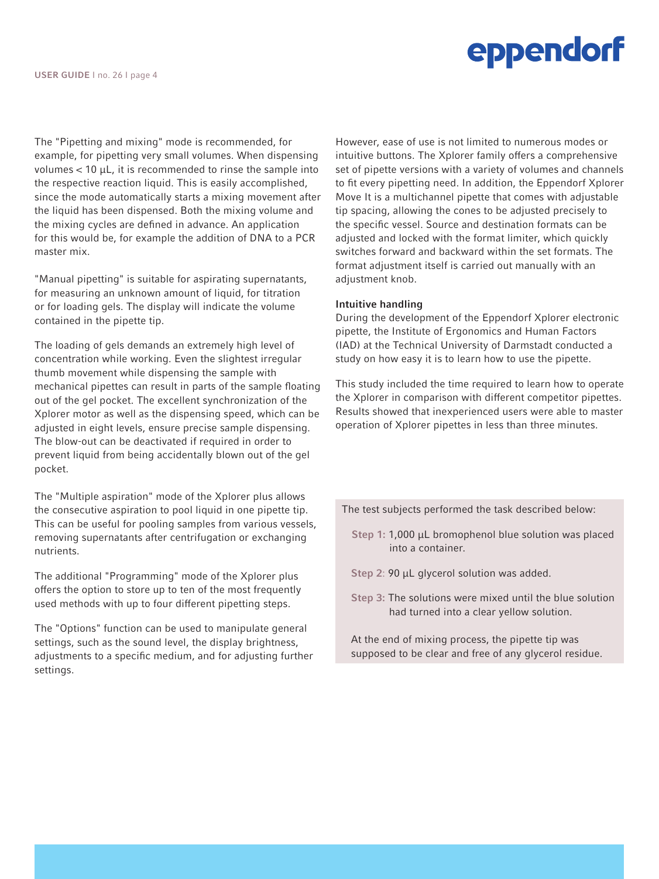## eppendorf

The "Pipetting and mixing" mode is recommended, for example, for pipetting very small volumes. When dispensing volumes  $< 10 \mu L$ , it is recommended to rinse the sample into the respective reaction liquid. This is easily accomplished, since the mode automatically starts a mixing movement after the liquid has been dispensed. Both the mixing volume and the mixing cycles are defined in advance. An application for this would be, for example the addition of DNA to a PCR master mix.

"Manual pipetting" is suitable for aspirating supernatants, for measuring an unknown amount of liquid, for titration or for loading gels. The display will indicate the volume contained in the pipette tip.

The loading of gels demands an extremely high level of concentration while working. Even the slightest irregular thumb movement while dispensing the sample with mechanical pipettes can result in parts of the sample floating out of the gel pocket. The excellent synchronization of the Xplorer motor as well as the dispensing speed, which can be adjusted in eight levels, ensure precise sample dispensing. The blow-out can be deactivated if required in order to prevent liquid from being accidentally blown out of the gel pocket.

The "Multiple aspiration" mode of the Xplorer plus allows the consecutive aspiration to pool liquid in one pipette tip. This can be useful for pooling samples from various vessels, removing supernatants after centrifugation or exchanging nutrients.

The additional "Programming" mode of the Xplorer plus offers the option to store up to ten of the most frequently used methods with up to four different pipetting steps.

The "Options" function can be used to manipulate general settings, such as the sound level, the display brightness, adjustments to a specific medium, and for adjusting further settings.

However, ease of use is not limited to numerous modes or intuitive buttons. The Xplorer family offers a comprehensive set of pipette versions with a variety of volumes and channels to fit every pipetting need. In addition, the Eppendorf Xplorer Move It is a multichannel pipette that comes with adjustable tip spacing, allowing the cones to be adjusted precisely to the specific vessel. Source and destination formats can be adjusted and locked with the format limiter, which quickly switches forward and backward within the set formats. The format adjustment itself is carried out manually with an adjustment knob.

#### Intuitive handling

During the development of the Eppendorf Xplorer electronic pipette, the Institute of Ergonomics and Human Factors (IAD) at the Technical University of Darmstadt conducted a study on how easy it is to learn how to use the pipette.

This study included the time required to learn how to operate the Xplorer in comparison with different competitor pipettes. Results showed that inexperienced users were able to master operation of Xplorer pipettes in less than three minutes.

The test subjects performed the task described below:

- Step 1: 1,000 μL bromophenol blue solution was placed into a container.
- Step 2: 90 μL glycerol solution was added.
- Step 3: The solutions were mixed until the blue solution had turned into a clear yellow solution.
- At the end of mixing process, the pipette tip was supposed to be clear and free of any glycerol residue.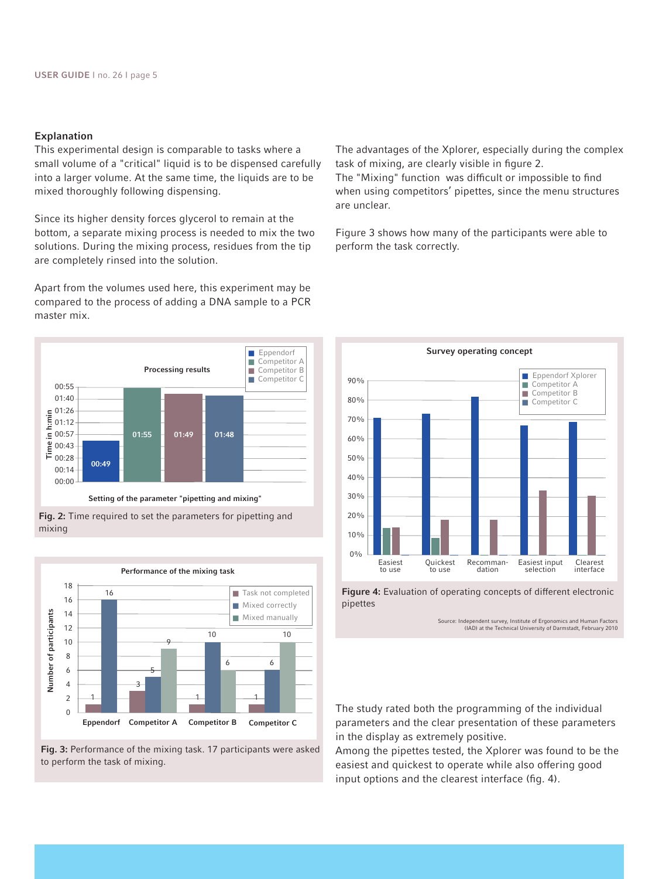#### Explanation

This experimental design is comparable to tasks where a small volume of a "critical" liquid is to be dispensed carefully into a larger volume. At the same time, the liquids are to be mixed thoroughly following dispensing.

Since its higher density forces glycerol to remain at the bottom, a separate mixing process is needed to mix the two solutions. During the mixing process, residues from the tip are completely rinsed into the solution.

Apart from the volumes used here, this experiment may be compared to the process of adding a DNA sample to a PCR master mix.







Fig. 3: Performance of the mixing task. 17 participants were asked

The advantages of the Xplorer, especially during the complex task of mixing, are clearly visible in figure 2.

The "Mixing" function was difficult or impossible to find when using competitors' pipettes, since the menu structures are unclear.

Figure 3 shows how many of the participants were able to perform the task correctly.



Figure 4: Evaluation of operating concepts of different electronic pipettes

Source: Independent survey, Institute of Ergonomics and Human Factors (IAD) at the Technical University of Darmstadt, February 2010

The study rated both the programming of the individual parameters and the clear presentation of these parameters in the display as extremely positive.

Among the pipettes tested, the Xplorer was found to be the easiest and quickest to operate while also offering good input options and the clearest interface (fig. 4).